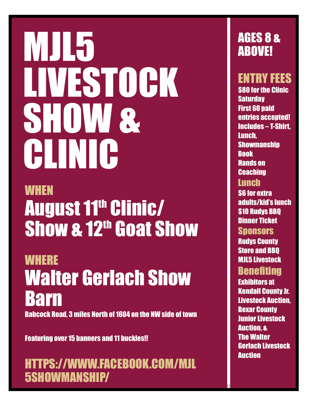# MJL5 LIVESTOCK SHOW & CLINIC

## **WHEN August 11th Clinic/** Show & 12<sup>th</sup> Goat Show

**WHERE** Walter Gerlach Show Barn

Babcock Road, 3 miles North of 1604 on the NW side of town

Featuring over 15 banners and 11 buckles!!

HTTPS://WWW.FACEBOOK.COM/MJL 5SHOWMANSHIP/

#### AGES 8 & ABOVE!

ENTRY FEES

**\$80 for the Clinic Saturday** First 60 paid entries accepted! Includes – T-Shirt, Lunch, **Showmanship** Book Hands on **Coaching** 

#### **Lunch**

**\$6 for extra** adults/kid's lunch \$10 Rudys BBQ Dinner Ticket

**Sponsors** 

Rudys County Store and BBQ MJL5 Livestock **Benefiting** 

Exhibitors at Kendall County Jr. Livestock Auction, Bexar County Junior Livestock Auction, & The Walter Gerlach Livestock **Auction**